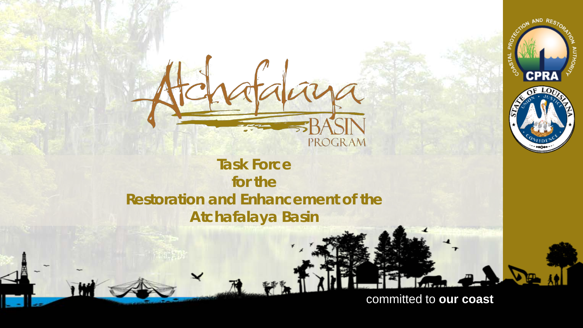

AND RES

#### **Task Force for the Restoration and Enhancement of the Atchafalaya Basin**

**PROGRAM** 

**Committee of the Click to edit Master the Click to edit and the Click to edit of the Click to edit and the Clic** 

committed to **our coast**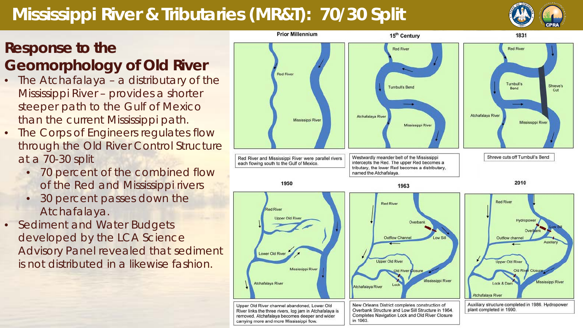# **Mississippi River & Tributaries (MR&T): 70/30 Split**

#### **Response to the Geomorphology of Old River**

- The Atchafalaya a distributary of the Mississippi River – provides a shorter steeper path to the Gulf of Mexico than the current Mississippi path.
- The Corps of Engineers regulates flow through the Old River Control Structure at a 70-30 split
	- 70 percent of the combined flow of the Red and Mississippi rivers
	- 30 percent passes down the Atchafalaya.
- Sediment and Water Budgets developed by the LCA Science Advisory Panel revealed that sediment is not distributed in a likewise fashion.

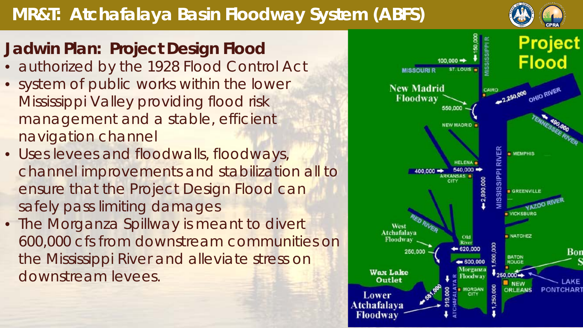# **MR&T: Atchafalaya Basin Floodway System (ABFS)**

#### **Jadwin Plan: Project Design Flood**

- authorized by the 1928 Flood Control Act
- system of public works within the lower Mississippi Valley providing flood risk management and a stable, efficient navigation channel
- Uses levees and floodwalls, floodways, channel improvements and stabilization all to ensure that the Project Design Flood can safely pass limiting damages
- The Morganza Spillway is meant to divert 600,000 cfs from downstream communities on the Mississippi River and alleviate stress on downstream levees.

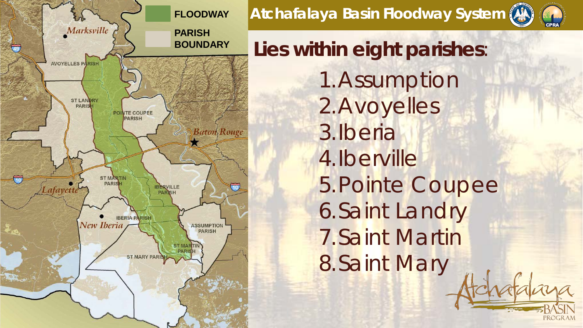

**Atchafalaya Basin Floodway System**



**Lies within eight parishes**: 1.Assumption 2.Avoyelles 3.Iberia 4.Iberville 5.Pointe Coupee 6.Saint Landry 7.Saint Martin 8.Saint Mary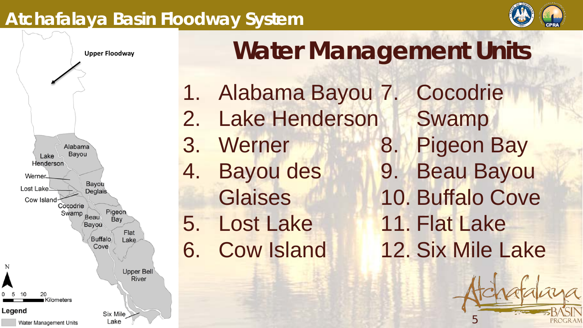#### **Atchafalaya Basin Floodway System**





# **Water Management Units**

1. Alabama Bayou 7. 2. Lake Henderson 3. Werner 4. Bayou des **Glaises** 5. Lost Lake 6. Cow Island **Cocodrie** Swamp 8. Pigeon Bay 9. Beau Bayou 10. Buffalo Cove 11. Flat Lake 12. Six Mile Lake

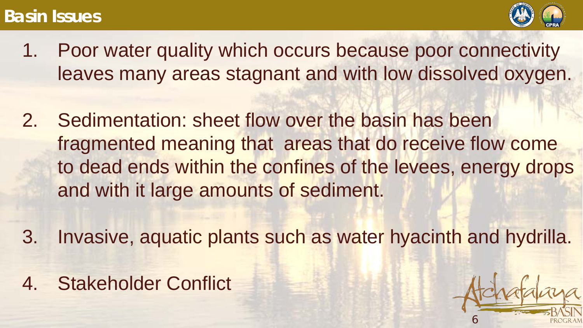#### **Basin Issues**



- 1. Poor water quality which occurs because poor connectivity leaves many areas stagnant and with low dissolved oxygen.
- 2. Sedimentation: sheet flow over the basin has been fragmented meaning that areas that do receive flow come to dead ends within the confines of the levees, energy drops and with it large amounts of sediment.
- 3. Invasive, aquatic plants such as water hyacinth and hydrilla.
- 4. Stakeholder Conflict

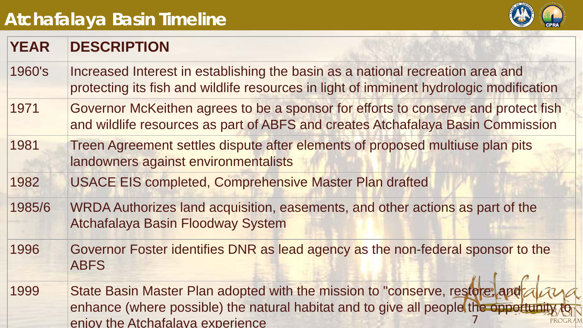# **Atchafalaya Basin Timeline**



| <b>YEAR</b> | <b>DESCRIPTION</b>                                                                                                                                                                                         |
|-------------|------------------------------------------------------------------------------------------------------------------------------------------------------------------------------------------------------------|
| 1960's      | Increased Interest in establishing the basin as a national recreation area and<br>protecting its fish and wildlife resources in light of imminent hydrologic modification                                  |
| 1971        | Governor McKeithen agrees to be a sponsor for efforts to conserve and protect fish<br>and wildlife resources as part of ABFS and creates Atchafalaya Basin Commission                                      |
| 1981        | Treen Agreement settles dispute after elements of proposed multiuse plan pits<br>landowners against environmentalists                                                                                      |
| 1982        | <b>USACE EIS completed, Comprehensive Master Plan drafted</b>                                                                                                                                              |
| 1985/6      | WRDA Authorizes land acquisition, easements, and other actions as part of the<br><b>Atchafalaya Basin Floodway System</b>                                                                                  |
| 1996        | Governor Foster identifies DNR as lead agency as the non-federal sponsor to the<br><b>ABFS</b>                                                                                                             |
| 1999        | State Basin Master Plan adopted with the mission to "conserve, restore, and all<br>enhance (where possible) the natural habitat and to give all people the opportunity<br>enjoy the Atchafalaya experience |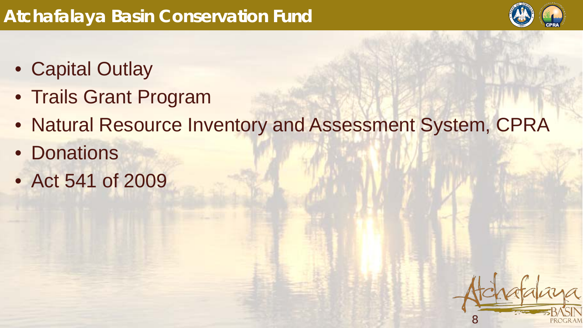

- Capital Outlay
- Trails Grant Program
- Natural Resource Inventory and Assessment System, CPRA
- Donations
- Act 541 of 2009

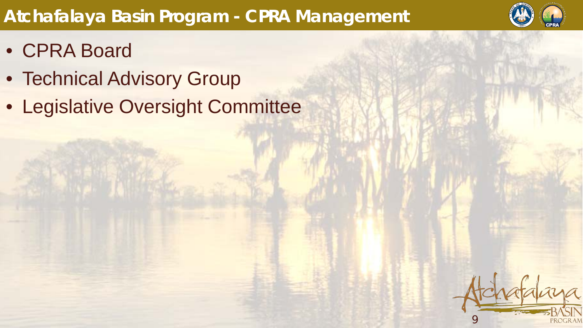# **Atchafalaya Basin Program - CPRA Management**



- CPRA Board
- Technical Advisory Group
- Legislative Oversight Committee

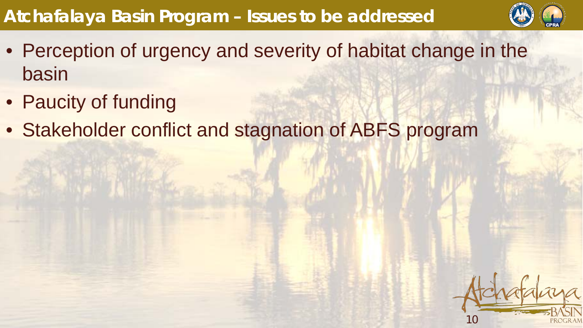# **Atchafalaya Basin Program – Issues to be addressed**



- Perception of urgency and severity of habitat change in the basin
- Paucity of funding
- Stakeholder conflict and stagnation of ABFS program

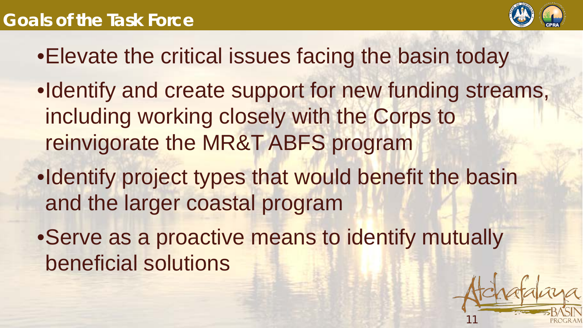## **Goals of the Task Force**



11

- •Elevate the critical issues facing the basin today
- •Identify and create support for new funding streams, including working closely with the Corps to reinvigorate the MR&T ABFS program
- •Identify project types that would benefit the basin and the larger coastal program
- •Serve as a proactive means to identify mutually beneficial solutions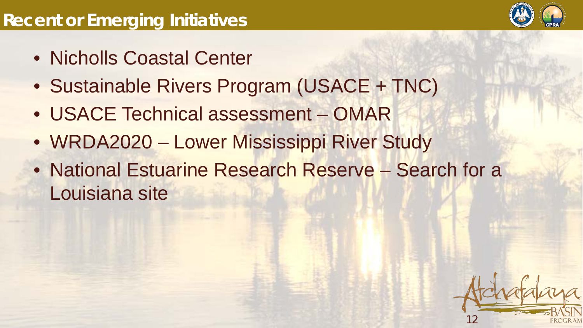- Nicholls Coastal Center
- Sustainable Rivers Program (USACE + TNC)
- USACE Technical assessment OMAR
- WRDA2020 Lower Mississippi River Study
- National Estuarine Research Reserve Search for a Louisiana site

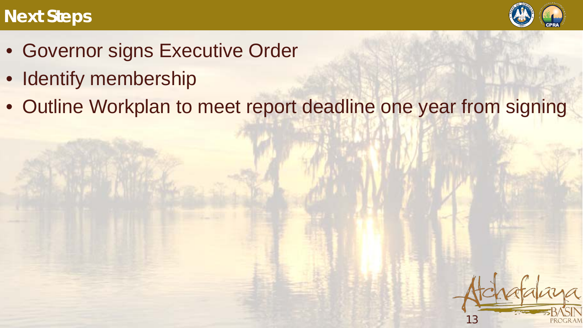### **Next Steps**



13

- Governor signs Executive Order
- Identify membership
- Outline Workplan to meet report deadline one year from signing